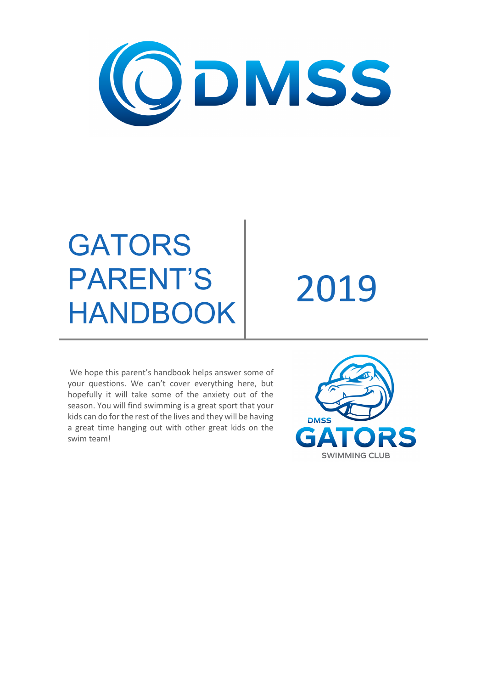

# **GATORS** PARENT'S PARENTS 2019<br>HANDBOOK 2019

We hope this parent's handbook helps answer some of your questions. We can't cover everything here, but hopefully it will take some of the anxiety out of the season. You will find swimming is a great sport that your kids can do for the rest of the lives and they will be having a great time hanging out with other great kids on the swim team!

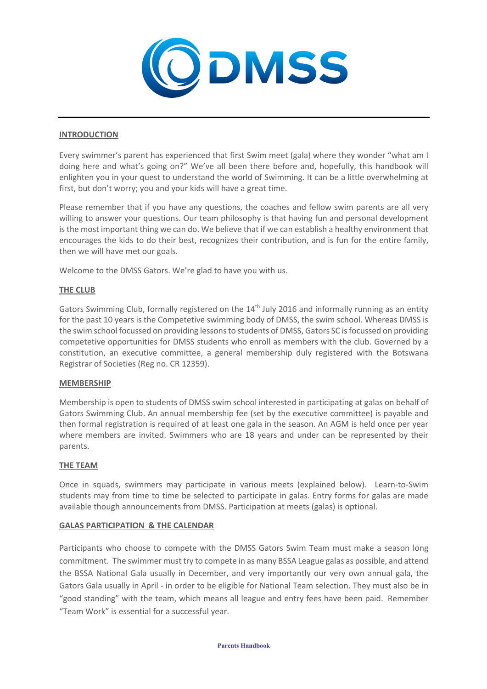

## **INTRODUCTION**

Every swimmer's parent has experienced that first Swim meet (gala) where they wonder "what am I doing here and what's going on?" We've all been there before and, hopefully, this handbook will enlighten you in your quest to understand the world of Swimming. It can be a little overwhelming at first, but don't worry; you and your kids will have a great time.

Please remember that if you have any questions, the coaches and fellow swim parents are all very willing to answer your questions. Our team philosophy is that having fun and personal development is the most important thing we can do. We believe that if we can establish a healthy environment that encourages the kids to do their best, recognizes their contribution, and is fun for the entire family, then we will have met our goals.

Welcome to the DMSS Gators. We're glad to have you with us.

## **THE CLUB**

Gators Swimming Club, formally registered on the 14<sup>th</sup> July 2016 and informally running as an entity for the past 10 years is the Competetive swimming body of DMSS, the swim school. Whereas DMSS is the swim school focussed on providing lessons to students of DMSS, Gators SC is focussed on providing competetive opportunities for DMSS students who enroll as members with the club. Governed by a constitution, an executive committee, a general membership duly registered with the Botswana Registrar of Societies (Reg no. CR 12359).

## **MEMBERSHIP**

Membership is open to students of DMSS swim school interested in participating at galas on behalf of Gators Swimming Club. An annual membership fee (set by the executive committee) is payable and then formal registration is required of at least one gala in the season. An AGM is held once per year where members are invited. Swimmers who are 18 years and under can be represented by their parents.

## **THE TEAM**

Once in squads, swimmers may participate in various meets (explained below). Learn-to-Swim students may from time to time be selected to participate in galas. Entry forms for galas are made available though announcements from DMSS. Participation at meets (galas) is optional.

## **GALAS PARTICIPATION & THE CALENDAR**

Participants who choose to compete with the DMSS Gators Swim Team must make a season long commitment. The swimmer must try to compete in as many BSSA League galas as possible, and attend the BSSA National Gala usually in December, and very importantly our very own annual gala, the Gators Gala usually in April - in order to be eligible for National Team selection. They must also be in "good standing" with the team, which means all league and entry fees have been paid. Remember "Team Work" is essential for a successful year.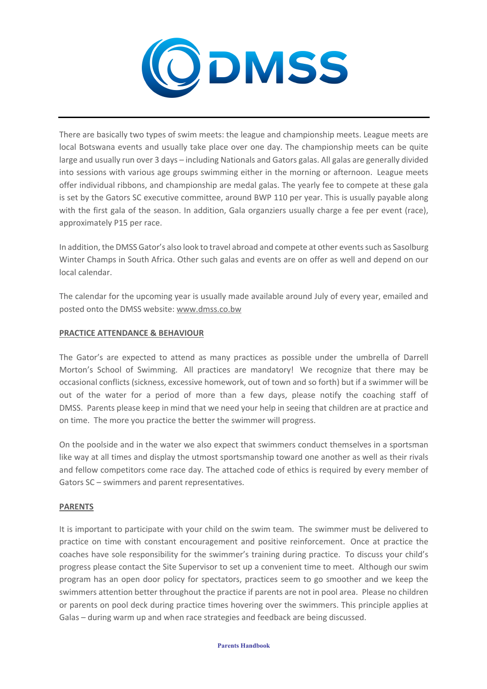

There are basically two types of swim meets: the league and championship meets. League meets are local Botswana events and usually take place over one day. The championship meets can be quite large and usually run over 3 days – including Nationals and Gators galas. All galas are generally divided into sessions with various age groups swimming either in the morning or afternoon. League meets offer individual ribbons, and championship are medal galas. The yearly fee to compete at these gala is set by the Gators SC executive committee, around BWP 110 per year. This is usually payable along with the first gala of the season. In addition, Gala organziers usually charge a fee per event (race), approximately P15 per race.

In addition, the DMSS Gator's also look to travel abroad and compete at other events such as Sasolburg Winter Champs in South Africa. Other such galas and events are on offer as well and depend on our local calendar.

The calendar for the upcoming year is usually made available around July of every year, emailed and posted onto the DMSS website: www.dmss.co.bw

## **PRACTICE ATTENDANCE & BEHAVIOUR**

The Gator's are expected to attend as many practices as possible under the umbrella of Darrell Morton's School of Swimming. All practices are mandatory! We recognize that there may be occasional conflicts (sickness, excessive homework, out of town and so forth) but if a swimmer will be out of the water for a period of more than a few days, please notify the coaching staff of DMSS. Parents please keep in mind that we need your help in seeing that children are at practice and on time. The more you practice the better the swimmer will progress.

On the poolside and in the water we also expect that swimmers conduct themselves in a sportsman like way at all times and display the utmost sportsmanship toward one another as well as their rivals and fellow competitors come race day. The attached code of ethics is required by every member of Gators SC – swimmers and parent representatives.

## **PARENTS**

It is important to participate with your child on the swim team. The swimmer must be delivered to practice on time with constant encouragement and positive reinforcement. Once at practice the coaches have sole responsibility for the swimmer's training during practice. To discuss your child's progress please contact the Site Supervisor to set up a convenient time to meet. Although our swim program has an open door policy for spectators, practices seem to go smoother and we keep the swimmers attention better throughout the practice if parents are not in pool area. Please no children or parents on pool deck during practice times hovering over the swimmers. This principle applies at Galas – during warm up and when race strategies and feedback are being discussed.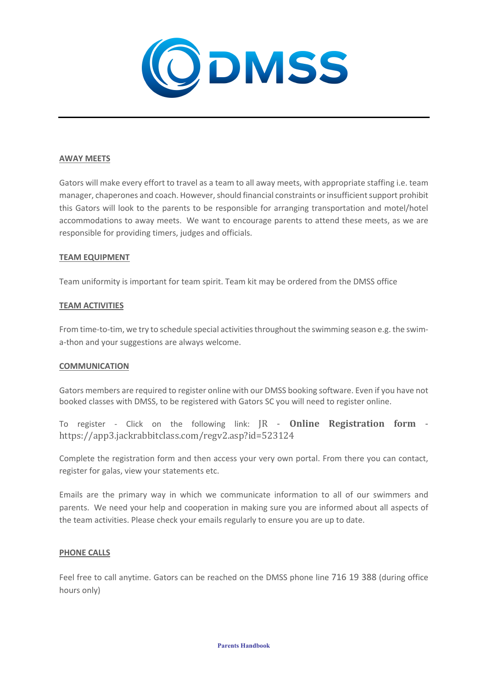

## **AWAY MEETS**

Gators will make every effort to travel as a team to all away meets, with appropriate staffing i.e. team manager, chaperones and coach. However, should financial constraints or insufficient support prohibit this Gators will look to the parents to be responsible for arranging transportation and motel/hotel accommodations to away meets. We want to encourage parents to attend these meets, as we are responsible for providing timers, judges and officials.

## **TEAM EQUIPMENT**

Team uniformity is important for team spirit. Team kit may be ordered from the DMSS office

## **TEAM ACTIVITIES**

From time-to-tim, we try to schedule special activities throughout the swimming season e.g. the swima-thon and your suggestions are always welcome.

## **COMMUNICATION**

Gators members are required to register online with our DMSS booking software. Even if you have not booked classes with DMSS, to be registered with Gators SC you will need to register online.

To register - Click on the following link: JR - **Online Registration form** https://app3.jackrabbitclass.com/regv2.asp?id=523124

Complete the registration form and then access your very own portal. From there you can contact, register for galas, view your statements etc.

Emails are the primary way in which we communicate information to all of our swimmers and parents. We need your help and cooperation in making sure you are informed about all aspects of the team activities. Please check your emails regularly to ensure you are up to date.

## **PHONE CALLS**

Feel free to call anytime. Gators can be reached on the DMSS phone line 716 19 388 (during office hours only)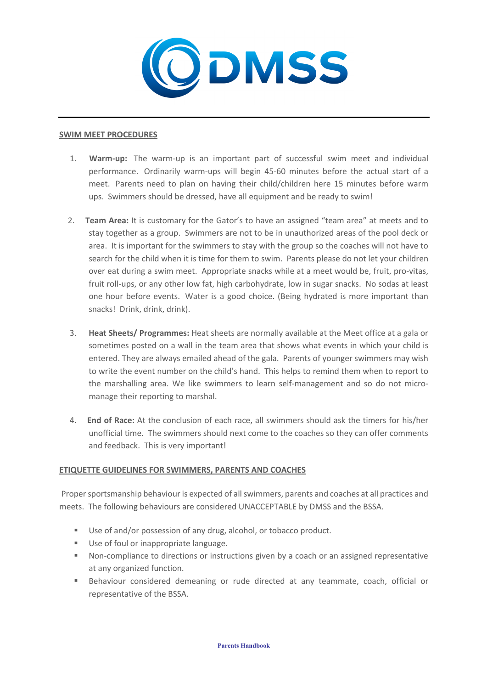

#### **SWIM MEET PROCEDURES**

- 1. **Warm-up:** The warm-up is an important part of successful swim meet and individual performance. Ordinarily warm-ups will begin 45-60 minutes before the actual start of a meet. Parents need to plan on having their child/children here 15 minutes before warm ups. Swimmers should be dressed, have all equipment and be ready to swim!
- 2. **Team Area:** It is customary for the Gator's to have an assigned "team area" at meets and to stay together as a group. Swimmers are not to be in unauthorized areas of the pool deck or area. It is important for the swimmers to stay with the group so the coaches will not have to search for the child when it is time for them to swim. Parents please do not let your children over eat during a swim meet. Appropriate snacks while at a meet would be, fruit, pro-vitas, fruit roll-ups, or any other low fat, high carbohydrate, low in sugar snacks. No sodas at least one hour before events. Water is a good choice. (Being hydrated is more important than snacks! Drink, drink, drink).
- 3. **Heat Sheets/ Programmes:** Heat sheets are normally available at the Meet office at a gala or sometimes posted on a wall in the team area that shows what events in which your child is entered. They are always emailed ahead of the gala. Parents of younger swimmers may wish to write the event number on the child's hand. This helps to remind them when to report to the marshalling area. We like swimmers to learn self-management and so do not micromanage their reporting to marshal.
- 4. **End of Race:** At the conclusion of each race, all swimmers should ask the timers for his/her unofficial time. The swimmers should next come to the coaches so they can offer comments and feedback. This is very important!

## **ETIQUETTE GUIDELINES FOR SWIMMERS, PARENTS AND COACHES**

Proper sportsmanship behaviour is expected of all swimmers, parents and coaches at all practices and meets. The following behaviours are considered UNACCEPTABLE by DMSS and the BSSA.

- Use of and/or possession of any drug, alcohol, or tobacco product.
- Use of foul or inappropriate language.
- Non-compliance to directions or instructions given by a coach or an assigned representative at any organized function.
- Behaviour considered demeaning or rude directed at any teammate, coach, official or representative of the BSSA.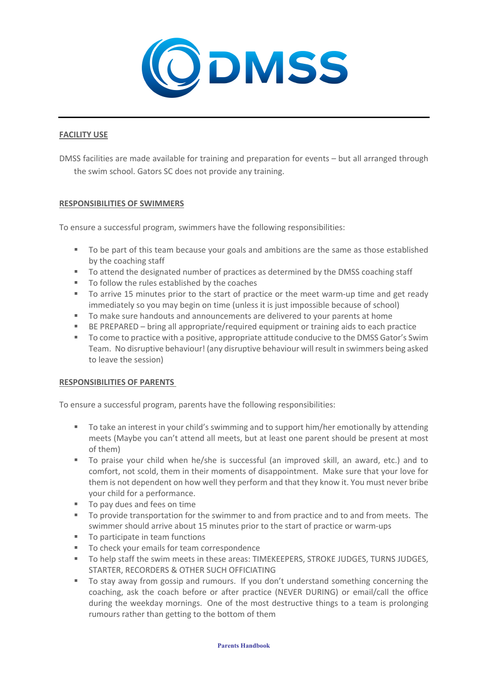

## **FACILITY USE**

DMSS facilities are made available for training and preparation for events – but all arranged through the swim school. Gators SC does not provide any training.

## **RESPONSIBILITIES OF SWIMMERS**

To ensure a successful program, swimmers have the following responsibilities:

- To be part of this team because your goals and ambitions are the same as those established by the coaching staff
- To attend the designated number of practices as determined by the DMSS coaching staff
- To follow the rules established by the coaches
- To arrive 15 minutes prior to the start of practice or the meet warm-up time and get ready immediately so you may begin on time (unless it is just impossible because of school)
- § To make sure handouts and announcements are delivered to your parents at home
- BE PREPARED bring all appropriate/required equipment or training aids to each practice
- To come to practice with a positive, appropriate attitude conducive to the DMSS Gator's Swim Team. No disruptive behaviour! (any disruptive behaviour will result in swimmers being asked to leave the session)

## **RESPONSIBILITIES OF PARENTS**

To ensure a successful program, parents have the following responsibilities:

- To take an interest in your child's swimming and to support him/her emotionally by attending meets (Maybe you can't attend all meets, but at least one parent should be present at most of them)
- To praise your child when he/she is successful (an improved skill, an award, etc.) and to comfort, not scold, them in their moments of disappointment. Make sure that your love for them is not dependent on how well they perform and that they know it. You must never bribe your child for a performance.
- To pay dues and fees on time
- To provide transportation for the swimmer to and from practice and to and from meets. The swimmer should arrive about 15 minutes prior to the start of practice or warm-ups
- To participate in team functions
- To check your emails for team correspondence
- § To help staff the swim meets in these areas: TIMEKEEPERS, STROKE JUDGES, TURNS JUDGES, STARTER, RECORDERS & OTHER SUCH OFFICIATING
- To stay away from gossip and rumours. If you don't understand something concerning the coaching, ask the coach before or after practice (NEVER DURING) or email/call the office during the weekday mornings. One of the most destructive things to a team is prolonging rumours rather than getting to the bottom of them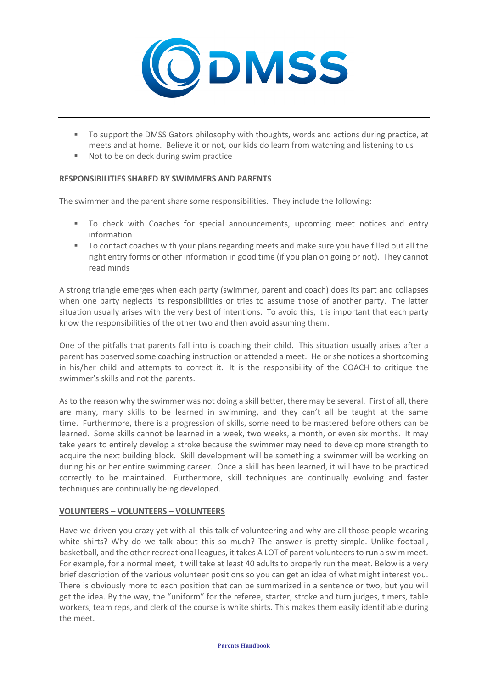

- To support the DMSS Gators philosophy with thoughts, words and actions during practice, at meets and at home. Believe it or not, our kids do learn from watching and listening to us
- Not to be on deck during swim practice

## **RESPONSIBILITIES SHARED BY SWIMMERS AND PARENTS**

The swimmer and the parent share some responsibilities. They include the following:

- To check with Coaches for special announcements, upcoming meet notices and entry information
- § To contact coaches with your plans regarding meets and make sure you have filled out all the right entry forms or other information in good time (if you plan on going or not). They cannot read minds

A strong triangle emerges when each party (swimmer, parent and coach) does its part and collapses when one party neglects its responsibilities or tries to assume those of another party. The latter situation usually arises with the very best of intentions. To avoid this, it is important that each party know the responsibilities of the other two and then avoid assuming them.

One of the pitfalls that parents fall into is coaching their child. This situation usually arises after a parent has observed some coaching instruction or attended a meet. He or she notices a shortcoming in his/her child and attempts to correct it. It is the responsibility of the COACH to critique the swimmer's skills and not the parents.

As to the reason why the swimmer was not doing a skill better, there may be several. First of all, there are many, many skills to be learned in swimming, and they can't all be taught at the same time. Furthermore, there is a progression of skills, some need to be mastered before others can be learned. Some skills cannot be learned in a week, two weeks, a month, or even six months. It may take years to entirely develop a stroke because the swimmer may need to develop more strength to acquire the next building block. Skill development will be something a swimmer will be working on during his or her entire swimming career. Once a skill has been learned, it will have to be practiced correctly to be maintained. Furthermore, skill techniques are continually evolving and faster techniques are continually being developed.

## **VOLUNTEERS – VOLUNTEERS – VOLUNTEERS**

Have we driven you crazy yet with all this talk of volunteering and why are all those people wearing white shirts? Why do we talk about this so much? The answer is pretty simple. Unlike football, basketball, and the other recreational leagues, it takes A LOT of parent volunteers to run a swim meet. For example, for a normal meet, it will take at least 40 adults to properly run the meet. Below is a very brief description of the various volunteer positions so you can get an idea of what might interest you. There is obviously more to each position that can be summarized in a sentence or two, but you will get the idea. By the way, the "uniform" for the referee, starter, stroke and turn judges, timers, table workers, team reps, and clerk of the course is white shirts. This makes them easily identifiable during the meet.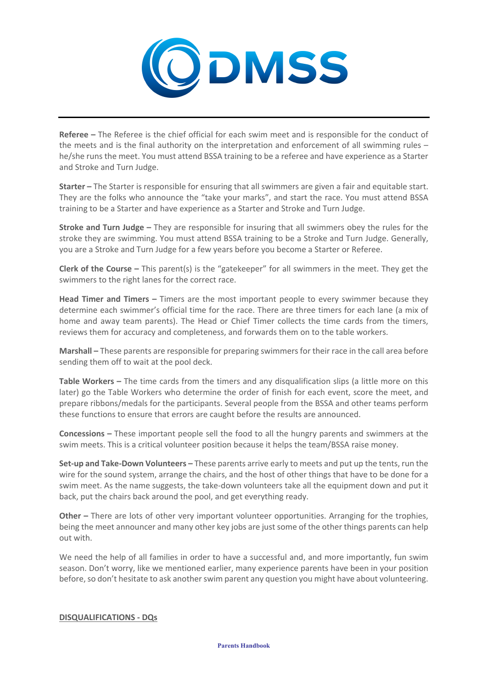

**Referee –** The Referee is the chief official for each swim meet and is responsible for the conduct of the meets and is the final authority on the interpretation and enforcement of all swimming rules – he/she runs the meet. You must attend BSSA training to be a referee and have experience as a Starter and Stroke and Turn Judge.

**Starter –** The Starter is responsible for ensuring that all swimmers are given a fair and equitable start. They are the folks who announce the "take your marks", and start the race. You must attend BSSA training to be a Starter and have experience as a Starter and Stroke and Turn Judge.

**Stroke and Turn Judge –** They are responsible for insuring that all swimmers obey the rules for the stroke they are swimming. You must attend BSSA training to be a Stroke and Turn Judge. Generally, you are a Stroke and Turn Judge for a few years before you become a Starter or Referee.

**Clerk of the Course –** This parent(s) is the "gatekeeper" for all swimmers in the meet. They get the swimmers to the right lanes for the correct race.

**Head Timer and Timers –** Timers are the most important people to every swimmer because they determine each swimmer's official time for the race. There are three timers for each lane (a mix of home and away team parents). The Head or Chief Timer collects the time cards from the timers, reviews them for accuracy and completeness, and forwards them on to the table workers.

**Marshall –** These parents are responsible for preparing swimmers for their race in the call area before sending them off to wait at the pool deck.

**Table Workers –** The time cards from the timers and any disqualification slips (a little more on this later) go the Table Workers who determine the order of finish for each event, score the meet, and prepare ribbons/medals for the participants. Several people from the BSSA and other teams perform these functions to ensure that errors are caught before the results are announced.

**Concessions –** These important people sell the food to all the hungry parents and swimmers at the swim meets. This is a critical volunteer position because it helps the team/BSSA raise money.

**Set-up and Take-Down Volunteers –** These parents arrive early to meets and put up the tents, run the wire for the sound system, arrange the chairs, and the host of other things that have to be done for a swim meet. As the name suggests, the take-down volunteers take all the equipment down and put it back, put the chairs back around the pool, and get everything ready.

**Other –** There are lots of other very important volunteer opportunities. Arranging for the trophies, being the meet announcer and many other key jobs are just some of the other things parents can help out with.

We need the help of all families in order to have a successful and, and more importantly, fun swim season. Don't worry, like we mentioned earlier, many experience parents have been in your position before, so don't hesitate to ask another swim parent any question you might have about volunteering.

## **DISQUALIFICATIONS - DQs**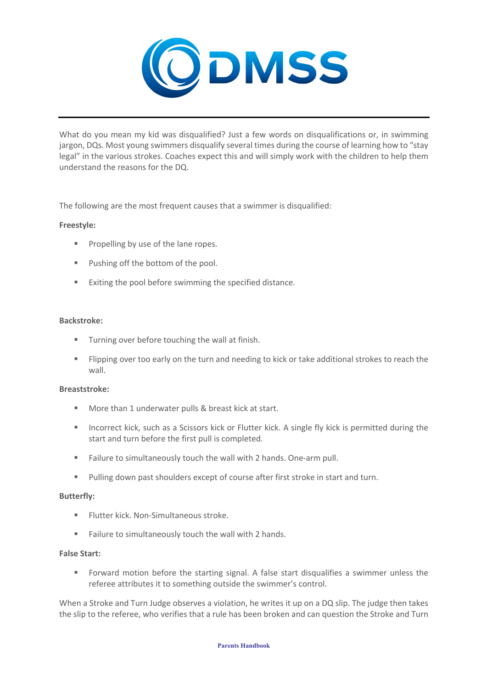

What do you mean my kid was disqualified? Just a few words on disqualifications or, in swimming jargon, DQs. Most young swimmers disqualify several times during the course of learning how to "stay legal" in the various strokes. Coaches expect this and will simply work with the children to help them understand the reasons for the DQ.

The following are the most frequent causes that a swimmer is disqualified:

## **Freestyle:**

- Propelling by use of the lane ropes.
- Pushing off the bottom of the pool.
- Exiting the pool before swimming the specified distance.

## **Backstroke:**

- Turning over before touching the wall at finish.
- Flipping over too early on the turn and needing to kick or take additional strokes to reach the wall.

## **Breaststroke:**

- More than 1 underwater pulls & breast kick at start.
- Incorrect kick, such as a Scissors kick or Flutter kick. A single fly kick is permitted during the start and turn before the first pull is completed.
- Failure to simultaneously touch the wall with 2 hands. One-arm pull.
- Pulling down past shoulders except of course after first stroke in start and turn.

## **Butterfly:**

- § Flutter kick. Non-Simultaneous stroke.
- Failure to simultaneously touch the wall with 2 hands.

## **False Start:**

■ Forward motion before the starting signal. A false start disqualifies a swimmer unless the referee attributes it to something outside the swimmer's control.

When a Stroke and Turn Judge observes a violation, he writes it up on a DQ slip. The judge then takes the slip to the referee, who verifies that a rule has been broken and can question the Stroke and Turn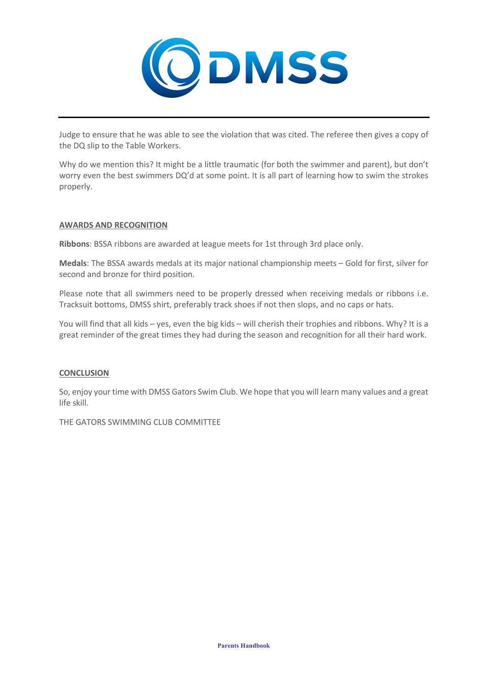

Judge to ensure that he was able to see the violation that was cited. The referee then gives a copy of the DQ slip to the Table Workers.

Why do we mention this? It might be a little traumatic (for both the swimmer and parent), but don't worry even the best swimmers DQ'd at some point. It is all part of learning how to swim the strokes properly.

## **AWARDS AND RECOGNITION**

**Ribbons**: BSSA ribbons are awarded at league meets for 1st through 3rd place only.

**Medals**: The BSSA awards medals at its major national championship meets – Gold for first, silver for second and bronze for third position.

Please note that all swimmers need to be properly dressed when receiving medals or ribbons i.e. Tracksuit bottoms, DMSS shirt, preferably track shoes if not then slops, and no caps or hats.

You will find that all kids – yes, even the big kids – will cherish their trophies and ribbons. Why? It is a great reminder of the great times they had during the season and recognition for all their hard work.

## **CONCLUSION**

So, enjoy your time with DMSS Gators Swim Club. We hope that you will learn many values and a great life skill.

THE GATORS SWIMMING CLUB COMMITTEE